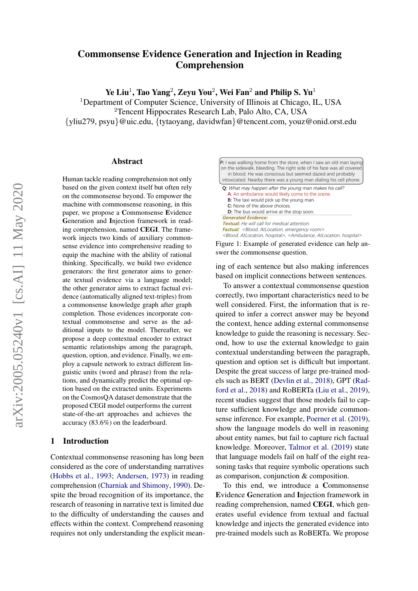# Commonsense Evidence Generation and Injection in Reading Comprehension

Ye Liu $^1$ , Tao Yang $^2$ , Zeyu You $^2$ , Wei Fan $^2$  and Philip S. Yu $^1$ 

<sup>1</sup>Department of Computer Science, University of Illinois at Chicago, IL, USA <sup>2</sup>Tencent Hippocrates Research Lab, Palo Alto, CA, USA {yliu279, psyu}@uic.edu, {tytaoyang, davidwfan}@tencent.com, youz@onid.orst.edu

#### Abstract

Human tackle reading comprehension not only based on the given context itself but often rely on the commonsense beyond. To empower the machine with commonsense reasoning, in this paper, we propose a Commonsense Evidence Generation and Injection framework in reading comprehension, named CEGI. The framework injects two kinds of auxiliary commonsense evidence into comprehensive reading to equip the machine with the ability of rational thinking. Specifically, we build two evidence generators: the first generator aims to generate textual evidence via a language model; the other generator aims to extract factual evidence (automatically aligned text-triples) from a commonsense knowledge graph after graph completion. Those evidences incorporate contextual commonsense and serve as the additional inputs to the model. Thereafter, we propose a deep contextual encoder to extract semantic relationships among the paragraph, question, option, and evidence. Finally, we employ a capsule network to extract different linguistic units (word and phrase) from the relations, and dynamically predict the optimal option based on the extracted units. Experiments on the CosmosQA dataset demonstrate that the proposed CEGI model outperforms the current state-of-the-art approaches and achieves the accuracy (83.6%) on the leaderboard.

# 1 Introduction

Contextual commonsense reasoning has long been considered as the core of understanding narratives [\(Hobbs et al.,](#page-8-0) [1993;](#page-8-0) [Andersen,](#page-8-1) [1973\)](#page-8-1) in reading comprehension [\(Charniak and Shimony,](#page-8-2) [1990\)](#page-8-2). Despite the broad recognition of its importance, the research of reasoning in narrative text is limited due to the difficulty of understanding the causes and effects within the context. Comprehend reasoning requires not only understanding the explicit mean-

<span id="page-0-0"></span>

| <b>P:</b> I was walking home from the store, when I saw an old man laying<br>on the sidewalk, bleeding. The right side of his face was all covered<br>in blood. He was conscious but seemed dazed and probably<br>intoxicated. Nearby there was a young man dialing his cell phone. |
|-------------------------------------------------------------------------------------------------------------------------------------------------------------------------------------------------------------------------------------------------------------------------------------|
| <b>Q:</b> What may happen after the young man makes his call?<br>A: An ambulance would likely come to the scene.                                                                                                                                                                    |
| <b>B:</b> The taxi would pick up the young man.                                                                                                                                                                                                                                     |
| C: None of the above choices.                                                                                                                                                                                                                                                       |
| <b>D:</b> The bus would arrive at the stop soon.                                                                                                                                                                                                                                    |
| <b>Generated Evidence:</b>                                                                                                                                                                                                                                                          |
| <b>Textual:</b> He will call for medical attention.                                                                                                                                                                                                                                 |
| <b>Factual:</b> <blood, atlocation,="" emergency="" room=""></blood,>                                                                                                                                                                                                               |
| <blood, atlocation,="" hospital="">, <ambulance, atlocation,="" hospital=""></ambulance,></blood,>                                                                                                                                                                                  |

Figure 1: Example of generated evidence can help answer the commonsense question.

ing of each sentence but also making inferences based on implicit connections between sentences.

To answer a contextual commonsense question correctly, two important characteristics need to be well considered. First, the information that is required to infer a correct answer may be beyond the context, hence adding external commonsense knowledge to guide the reasoning is necessary. Second, how to use the external knowledge to gain contextual understanding between the paragraph, question and option set is difficult but important. Despite the great success of large pre-trained models such as BERT [\(Devlin et al.,](#page-8-3) [2018\)](#page-8-3), GPT [\(Rad](#page-9-0)[ford et al.,](#page-9-0) [2018\)](#page-9-0) and RoBERTa [\(Liu et al.,](#page-9-1) [2019\)](#page-9-1), recent studies suggest that those models fail to capture sufficient knowledge and provide commonsense inference. For example, [Poerner et al.](#page-9-2) [\(2019\)](#page-9-2), show the language models do well in reasoning about entity names, but fail to capture rich factual knowledge. Moreover, [Talmor et al.](#page-9-3) [\(2019\)](#page-9-3) state that language models fail on half of the eight reasoning tasks that require symbolic operations such as comparison, conjunction & composition.

To this end, we introduce a Commonsense Evidence Generation and Injection framework in reading comprehension, named CEGI, which generates useful evidence from textual and factual knowledge and injects the generated evidence into pre-trained models such as RoBERTa. We propose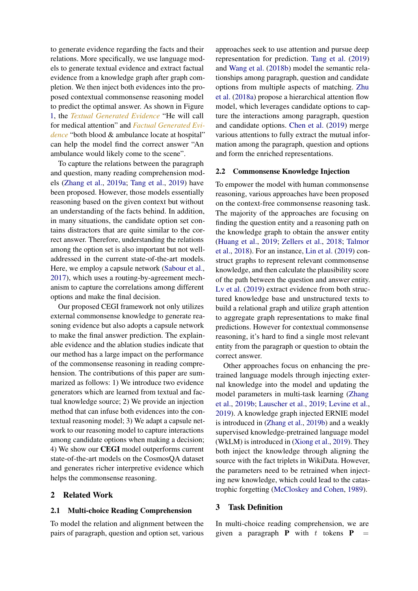to generate evidence regarding the facts and their relations. More specifically, we use language models to generate textual evidence and extract factual evidence from a knowledge graph after graph completion. We then inject both evidences into the proposed contextual commonsense reasoning model to predict the optimal answer. As shown in Figure [1,](#page-0-0) the *Textual Generated Evidence* "He will call for medical attention" and *Factual Generated Evidence* "both blood & ambulance locate at hospital" can help the model find the correct answer "An ambulance would likely come to the scene".

To capture the relations between the paragraph and question, many reading comprehension models [\(Zhang et al.,](#page-9-4) [2019a;](#page-9-4) [Tang et al.,](#page-9-5) [2019\)](#page-9-5) have been proposed. However, those models essentially reasoning based on the given context but without an understanding of the facts behind. In addition, in many situations, the candidate option set contains distractors that are quite similar to the correct answer. Therefore, understanding the relations among the option set is also important but not welladdressed in the current state-of-the-art models. Here, we employ a capsule network [\(Sabour et al.,](#page-9-6) [2017\)](#page-9-6), which uses a routing-by-agreement mechanism to capture the correlations among different options and make the final decision.

Our proposed CEGI framework not only utilizes external commonsense knowledge to generate reasoning evidence but also adopts a capsule network to make the final answer prediction. The explainable evidence and the ablation studies indicate that our method has a large impact on the performance of the commonsense reasoning in reading comprehension. The contributions of this paper are summarized as follows: 1) We introduce two evidence generators which are learned from textual and factual knowledge source; 2) We provide an injection method that can infuse both evidences into the contextual reasoning model; 3) We adapt a capsule network to our reasoning model to capture interactions among candidate options when making a decision; 4) We show our CEGI model outperforms current state-of-the-art models on the CosmosQA dataset and generates richer interpretive evidence which helps the commonsense reasoning.

# 2 Related Work

### 2.1 Multi-choice Reading Comprehension

To model the relation and alignment between the pairs of paragraph, question and option set, various

approaches seek to use attention and pursue deep representation for prediction. [Tang et al.](#page-9-5) [\(2019\)](#page-9-5) and [Wang et al.](#page-9-7) [\(2018b\)](#page-9-7) model the semantic relationships among paragraph, question and candidate options from multiple aspects of matching. [Zhu](#page-9-8) [et al.](#page-9-8) [\(2018a\)](#page-9-8) propose a hierarchical attention flow model, which leverages candidate options to capture the interactions among paragraph, question and candidate options. [Chen et al.](#page-8-4) [\(2019\)](#page-8-4) merge various attentions to fully extract the mutual information among the paragraph, question and options and form the enriched representations.

#### 2.2 Commonsense Knowledge Injection

To empower the model with human commonsense reasoning, various approaches have been proposed on the context-free commonsense reasoning task. The majority of the approaches are focusing on finding the question entity and a reasoning path on the knowledge graph to obtain the answer entity [\(Huang et al.,](#page-8-5) [2019;](#page-8-5) [Zellers et al.,](#page-9-9) [2018;](#page-9-9) [Talmor](#page-9-10) [et al.,](#page-9-10) [2018\)](#page-9-10). For an instance, [Lin et al.](#page-8-6) [\(2019\)](#page-8-6) construct graphs to represent relevant commonsense knowledge, and then calculate the plausibility score of the path between the question and answer entity. [Lv et al.](#page-9-11) [\(2019\)](#page-9-11) extract evidence from both structured knowledge base and unstructured texts to build a relational graph and utilize graph attention to aggregate graph representations to make final predictions. However for contextual commonsense reasoning, it's hard to find a single most relevant entity from the paragraph or question to obtain the correct answer.

Other approaches focus on enhancing the pretrained language models through injecting external knowledge into the model and updating the model parameters in multi-task learning [\(Zhang](#page-9-12) [et al.,](#page-9-12) [2019b;](#page-9-12) [Lauscher et al.,](#page-8-7) [2019;](#page-8-7) [Levine et al.,](#page-8-8) [2019\)](#page-8-8). A knowledge graph injected ERNIE model is introduced in [\(Zhang et al.,](#page-9-12) [2019b\)](#page-9-12) and a weakly supervised knowledge-pretrained language model (WkLM) is introduced in [\(Xiong et al.,](#page-9-13) [2019\)](#page-9-13). They both inject the knowledge through aligning the source with the fact triplets in WikiData. However, the parameters need to be retrained when injecting new knowledge, which could lead to the catastrophic forgetting [\(McCloskey and Cohen,](#page-9-14) [1989\)](#page-9-14).

### 3 Task Definition

In multi-choice reading comprehension, we are given a paragraph **P** with  $t$  tokens **P**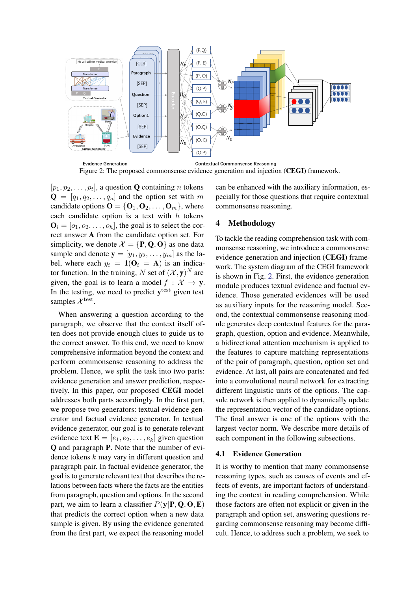<span id="page-2-0"></span>

Figure 2: The proposed commonsense evidence generation and injection (CEGI) framework.

 $[p_1, p_2, \ldots, p_t]$ , a question **Q** containing *n* tokens  $\mathbf{Q} = [q_1, q_2, \dots, q_n]$  and the option set with m candidate options  $\mathbf{O} = \{\mathbf{O}_1, \mathbf{O}_2, \dots, \mathbf{O}_m\}$ , where each candidate option is a text with  $h$  tokens  $\mathbf{O}_i = [o_1, o_2, \dots, o_h]$ , the goal is to select the correct answer A from the candidate option set. For simplicity, we denote  $\mathcal{X} = \{P, Q, O\}$  as one data sample and denote  $y = [y_1, y_2, \dots, y_m]$  as the label, where each  $y_i = 1(\mathbf{O}_i = \mathbf{A})$  is an indicator function. In the training, N set of  $({\cal X}, y)^N$  are given, the goal is to learn a model  $f : \mathcal{X} \to \mathbf{y}$ . In the testing, we need to predict  $y<sup>test</sup>$  given test samples  $\mathcal{X}^{\text{test}}$ .

When answering a question according to the paragraph, we observe that the context itself often does not provide enough clues to guide us to the correct answer. To this end, we need to know comprehensive information beyond the context and perform commonsense reasoning to address the problem. Hence, we split the task into two parts: evidence generation and answer prediction, respectively. In this paper, our proposed CEGI model addresses both parts accordingly. In the first part, we propose two generators: textual evidence generator and factual evidence generator. In textual evidence generator, our goal is to generate relevant evidence text  $\mathbf{E} = [e_1, e_2, \dots, e_k]$  given question Q and paragraph P. Note that the number of evidence tokens k may vary in different question and paragraph pair. In factual evidence generator, the goal is to generate relevant text that describes the relations between facts where the facts are the entities from paragraph, question and options. In the second part, we aim to learn a classifier  $P(y|P, Q, O, E)$ that predicts the correct option when a new data sample is given. By using the evidence generated from the first part, we expect the reasoning model

can be enhanced with the auxiliary information, especially for those questions that require contextual commonsense reasoning.

# 4 Methodology

To tackle the reading comprehension task with commonsense reasoning, we introduce a commonsense evidence generation and injection (CEGI) framework. The system diagram of the CEGI framework is shown in Fig. [2.](#page-2-0) First, the evidence generation module produces textual evidence and factual evidence. Those generated evidences will be used as auxiliary inputs for the reasoning model. Second, the contextual commonsense reasoning module generates deep contextual features for the paragraph, question, option and evidence. Meanwhile, a bidirectional attention mechanism is applied to the features to capture matching representations of the pair of paragraph, question, option set and evidence. At last, all pairs are concatenated and fed into a convolutional neural network for extracting different linguistic units of the options. The capsule network is then applied to dynamically update the representation vector of the candidate options. The final answer is one of the options with the largest vector norm. We describe more details of each component in the following subsections.

#### 4.1 Evidence Generation

It is worthy to mention that many commonsense reasoning types, such as causes of events and effects of events, are important factors of understanding the context in reading comprehension. While those factors are often not explicit or given in the paragraph and option set, answering questions regarding commonsense reasoning may become difficult. Hence, to address such a problem, we seek to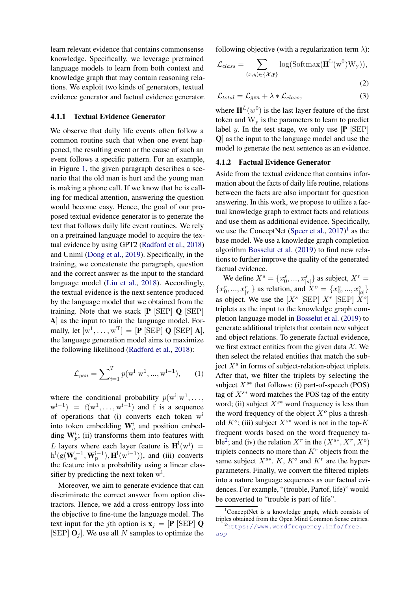learn relevant evidence that contains commonsense knowledge. Specifically, we leverage pretrained language models to learn from both context and knowledge graph that may contain reasoning relations. We exploit two kinds of generators, textual evidence generator and factual evidence generator.

# 4.1.1 Textual Evidence Generator

We observe that daily life events often follow a common routine such that when one event happened, the resulting event or the cause of such an event follows a specific pattern. For an example, in Figure [1,](#page-0-0) the given paragraph describes a scenario that the old man is hurt and the young man is making a phone call. If we know that he is calling for medical attention, answering the question would become easy. Hence, the goal of our proposed textual evidence generator is to generate the text that follows daily life event routines. We rely on a pretrained language model to acquire the textual evidence by using GPT2 [\(Radford et al.,](#page-9-0) [2018\)](#page-9-0) and Uniml [\(Dong et al.,](#page-8-9) [2019\)](#page-8-9). Specifically, in the training, we concatenate the paragraph, question and the correct answer as the input to the standard language model [\(Liu et al.,](#page-8-10) [2018\)](#page-8-10). Accordingly, the textual evidence is the next sentence produced by the language model that we obtained from the training. Note that we stack  $[P]$  [SEP]  $Q$  [SEP] A] as the input to train the language model. Formally, let  $[w^1, \dots, w^T] = [\mathbf{P} \times [\text{SEP}] \mathbf{Q} \times [\text{SEP}] \mathbf{A}],$ the language generation model aims to maximize the following likelihood [\(Radford et al.,](#page-9-0) [2018\)](#page-9-0):

$$
\mathcal{L}_{gen} = \sum_{i=1}^{T} p(\mathbf{w}^{i}|\mathbf{w}^{1}, ..., \mathbf{w}^{i-1}), \qquad (1)
$$

where the conditional probability  $p(\text{w}^i | \text{w}^1, \dots, \text{w}^i)$  $w^{i-1}$ ) = f( $w^1, \ldots, w^{i-1}$ ) and f is a sequence of operations that (i) converts each token w<sup>i</sup> into token embedding  $\mathbf{W}_{e}^{i}$  and position embedding  $W_p^i$ ; (ii) transforms them into features with L layers where each layer feature is  $\mathbf{H}^{\text{l}}(\text{w}^{\text{i}})$  =  $h^l(g(\mathbf{W}_{e}^{i-1}, \mathbf{W}_{p}^{i-1}), \mathbf{H}^{l}(w^{i-1}))$ , and (iii) converts the feature into a probability using a linear classifier by predicting the next token  $w<sup>i</sup>$ .

Moreover, we aim to generate evidence that can discriminate the correct answer from option distractors. Hence, we add a cross-entropy loss into the objective to fine-tune the language model. The text input for the *j*th option is  $\mathbf{x}_i = [\mathbf{P} \times \mathbf{E} \times \mathbf{P}] \mathbf{Q}$ [SEP]  $\mathbf{O}_i$ ]. We use all N samples to optimize the

following objective (with a regularization term  $\lambda$ ):

$$
\mathcal{L}_{class} = \sum_{(x,y)\in\{\mathcal{X},\mathbf{y}\}} \log(\text{Softmax}(\mathbf{H}^{\text{L}}(\mathbf{w}^0)\mathbf{W}_{\mathbf{y}})),
$$
\n(2)

<span id="page-3-3"></span>
$$
\mathcal{L}_{total} = \mathcal{L}_{gen} + \lambda * \mathcal{L}_{class},\tag{3}
$$

where  $H^{L}(w^{0})$  is the last layer feature of the first token and  $W_v$  is the parameters to learn to predict label y. In the test stage, we only use  $[P]$  [SEP] Q] as the input to the language model and use the model to generate the next sentence as an evidence.

#### 4.1.2 Factual Evidence Generator

Aside from the textual evidence that contains information about the facts of daily life routine, relations between the facts are also important for question answering. In this work, we propose to utilize a factual knowledge graph to extract facts and relations and use them as additional evidence. Specifically, we use the ConceptNet [\(Speer et al.,](#page-9-15)  $2017$  $2017$  $2017$ )<sup>1</sup> as the base model. We use a knowledge graph completion algorithm [Bosselut et al.](#page-8-11) [\(2019\)](#page-8-11) to find new relations to further improve the quality of the generated factual evidence.

<span id="page-3-2"></span>We define  $X^s = \{x_0^s, ..., x_{|s|}^s\}$  as subject,  $X^r =$  ${x_0^r, ..., x_{|r|}^r}$  as relation, and  $X^o = {x_0^o, ..., x_{|o|}^o}$ as object. We use the  $[X^s$  [SEP]  $X^r$  [SEP]  $X^o$ ] triplets as the input to the knowledge graph completion language model in [Bosselut et al.](#page-8-11) [\(2019\)](#page-8-11) to generate additional triplets that contain new subject and object relations. To generate factual evidence, we first extract entities from the given data  $\mathcal{X}$ . We then select the related entities that match the subject  $X<sup>s</sup>$  in forms of subject-relation-object triplets. After that, we filter the triplets by selecting the subject  $X^{s*}$  that follows: (i) part-of-speech (POS) tag of  $X^{s*}$  word matches the POS tag of the entity word; (ii) subject  $X^{s*}$  word frequency is less than the word frequency of the object  $X^{\circ}$  plus a threshold  $K^o$ ; (iii) subject  $X^{s*}$  word is not in the top-K frequent words based on the word frequency ta-ble<sup>[2](#page-3-1)</sup>; and (iv) the relation  $X^r$  in the  $(X^{s*}, X^r, X^o)$ triplets connects no more than  $K<sup>r</sup>$  objects from the same subject  $X^{s*}$ . K,  $K^o$  and  $K^r$  are the hyperparameters. Finally, we convert the filtered triplets into a nature language sequences as our factual evidences. For example, "(trouble, Partof, life)" would be converted to "trouble is part of life".

<span id="page-3-0"></span> $1$ ConceptNet is a knowledge graph, which consists of triples obtained from the Open Mind Common Sense entries.

<span id="page-3-1"></span><sup>&</sup>lt;sup>2</sup>[https://www.wordfrequency.info/free.](https://www.wordfrequency.info/free.asp) [asp](https://www.wordfrequency.info/free.asp)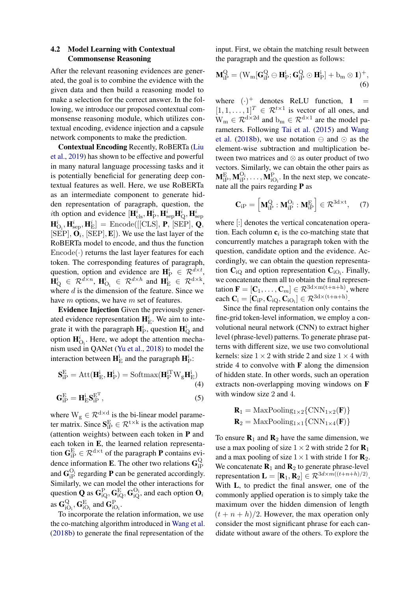# 4.2 Model Learning with Contextual Commonsense Reasoning

After the relevant reasoning evidences are generated, the goal is to combine the evidence with the given data and then build a reasoning model to make a selection for the correct answer. In the following, we introduce our proposed contextual commonsense reasoning module, which utilizes contextual encoding, evidence injection and a capsule network components to make the prediction.

Contextual Encoding Recently, RoBERTa [\(Liu](#page-9-1) [et al.,](#page-9-1) [2019\)](#page-9-1) has shown to be effective and powerful in many natural language processing tasks and it is potentially beneficial for generating deep contextual features as well. Here, we use RoBERTa as an intermediate component to generate hidden representation of paragraph, question, the *i*th option and evidence  $[\mathbf{H}_{\text{cls}}^i, \mathbf{H}_{\text{P}}^i, \mathbf{H}_{\text{sep}}^i \mathbf{H}_{\text{Q}}^i, \mathbf{H}_{\text{sep}}^i]$  $\textbf{H}_{\text{O}_\text{i}}^i, \textbf{H}_{\text{sep}}^i, \textbf{H}_{\text{E}}^i] = \text{Encode}([\text{[CLS]}, \textbf{P}, \text{[SEP}], \textbf{Q},$  $[SEP], \mathbf{O}_i, [SEP], \mathbf{E}])$ . We use the last layer of the RoBERTa model to encode, and thus the function  $Encode(\cdot)$  returns the last layer features for each token. The corresponding features of paragraph, question, option and evidence are  $\mathbf{H}_{\mathrm{P}}^{i} \in \mathcal{R}_{\mathrm{P}}^{d \times t}$ ,  $\mathbf{H}_{\mathrm{Q}}^{i} \in \mathcal{R}^{d \times n}$ ,  $\mathbf{H}_{\mathrm{O}_{i}}^{i} \in \mathcal{R}^{d \times h}$  and  $\mathbf{H}_{\mathrm{E}}^{i} \in \mathcal{R}^{d \times k}$ , where  $d$  is the dimension of the feature. Since we have *m* options, we have *m* set of features.

Evidence Injection Given the previously generated evidence representation  $\mathbf{H}_{\text{E}}^i$ . We aim to integrate it with the paragraph  $\mathbf{H}_{\text{P}}^{i}$ , question  $\mathbf{H}_{\text{Q}}^{i}$  and option  $\mathbf{H}_{\mathrm{O}_i}^i$ . Here, we adopt the attention mechanism used in QANet [\(Yu et al.,](#page-9-16) [2018\)](#page-9-16) to model the interaction between  $\mathbf{H}_{\mathrm{E}}^{\mathrm{i}}$  and the paragraph  $\mathbf{H}_{\mathrm{P}}^{\mathrm{i}}$ :

$$
\mathbf{S}_{iP}^{E} = \text{Att}(\mathbf{H}_{E}^{i}, \mathbf{H}_{P}^{i}) = \text{Softmax}(\mathbf{H}_{P}^{iT} \mathbf{W}_{g} \mathbf{H}_{E}^{i})
$$
\n(4)

$$
\mathbf{G}_{\text{iP}}^{\text{E}} = \mathbf{H}_{\text{E}}^{\text{i}} \mathbf{S}_{\text{iP}}^{\text{E}^{\text{T}}},\tag{5}
$$

where  $W_g \in \mathcal{R}^{d \times d}$  is the bi-linear model parameter matrix. Since  $S_{iP}^{\text{E}} \in \mathcal{R}^{t \times k}$  is the activation map (attention weights) between each token in P and each token in E, the learned relation representation  $\mathbf{G}_{iP}^{\text{E}} \in \mathcal{R}^{d \times t}$  of the paragraph **P** contains evidence information **E**. The other two relations  $\mathbf{G}_{iF}^{\text{Q}}$ iP and  $\mathbf{G}_{\text{IP}}^{\text{O}_i}$  regarding **P** can be generated accordingly. Similarly, we can model the other interactions for question  $\mathbf Q$  as  $\mathbf G_{\text{iQ}}^\text{P},\mathbf G_{\text{iQ}}^\text{E},\mathbf G_{\text{iQ}}^\text{O_i}$  and each option  $\mathbf O_i$ as  $\mathbf{G}_{i}^{\mathrm{Q}}$  $_{\rm iO_{\rm i}}^{\rm Q},$   ${\bf G}_{\rm iO_{\rm i}}^{\rm E}$  and  ${\bf G}_{\rm iO_{\rm i}}^{\rm P}$ .

To incorporate the relation information, we use the co-matching algorithm introduced in [Wang et al.](#page-9-7) [\(2018b\)](#page-9-7) to generate the final representation of the

input. First, we obtain the matching result between the paragraph and the question as follows:

$$
\mathbf{M}_{iP}^Q = (W_m[\mathbf{G}_{iP}^Q \ominus \mathbf{H}_P^i; \mathbf{G}_{iP}^Q \odot \mathbf{H}_P^i] + b_m \otimes 1)^+, \tag{6}
$$

where  $(\cdot)^+$  denotes ReLU function, 1 =  $[1, 1, \ldots, 1]^T \in \mathcal{R}^{t \times 1}$  is vector of all ones, and  $W_m \in \mathcal{R}^{d \times 2d}$  and  $b_m \in \mathcal{R}^{d \times 1}$  are the model parameters. Following [Tai et al.](#page-9-17) [\(2015\)](#page-9-17) and [Wang](#page-9-7) [et al.](#page-9-7) [\(2018b\)](#page-9-7), we use notation  $\ominus$  and  $\odot$  as the element-wise subtraction and multiplication between two matrices and ⊗ as outer product of two vectors. Similarly, we can obtain the other pairs as  $M_{iP}^{E}, M_{iP}^{O_i}, \ldots, M_{iO_i}^{P}$ . In the next step, we concatenate all the pairs regarding P as

$$
\mathbf{C}_{iP} = \left[ \mathbf{M}_{iP}^{Q} : \mathbf{M}_{iP}^{O_i} : \mathbf{M}_{iP}^{E} \right] \in \mathcal{R}^{3d \times t}, \quad (7)
$$

where [:] denotes the vertical concatenation operation. Each column  $c_i$  is the co-matching state that concurrently matches a paragraph token with the question, candidate option and the evidence. Accordingly, we can obtain the question representation  $\mathbf{C}_{iQ}$  and option representation  $\mathbf{C}_{iO_i}$ . Finally, we concatenate them all to obtain the final representation  $\mathbf{F} = [\mathbf{C}_1, \dots, \mathbf{C}_m] \in \mathcal{R}^{3d \times m(t+n+h)}$ , where each  $\mathbf{C}_i = [\mathbf{C}_{iP}, \mathbf{C}_{iQ}, \mathbf{C}_{iQ_i}] \in \mathcal{R}^{3d \times (t+n+h)}$ .

Since the final representation only contains the fine-grid token-level information, we employ a convolutional neural network (CNN) to extract higher level (phrase-level) patterns. To generate phrase patterns with different size, we use two convolutional kernels: size  $1 \times 2$  with stride 2 and size  $1 \times 4$  with stride 4 to convolve with  $\bf{F}$  along the dimension of hidden state. In other words, such an operation extracts non-overlapping moving windows on F with window size 2 and 4.

$$
\mathbf{R}_1 = \text{MaxPooling}_{1\times 2} \{ \text{CNN}_{1\times 2}(\mathbf{F}) \}
$$

$$
\mathbf{R}_2 = \text{MaxPooling}_{1\times 1} \{ \text{CNN}_{1\times 4}(\mathbf{F}) \}
$$

To ensure  $\mathbf{R}_1$  and  $\mathbf{R}_2$  have the same dimension, we use a max pooling of size  $1 \times 2$  with stride 2 for  $\mathbf{R}_1$ and a max pooling of size  $1 \times 1$  with stride 1 for  $\mathbf{R}_2$ . We concatenate  $\mathbf{R}_1$  and  $\mathbf{R}_2$  to generate phrase-level representation  $\mathbf{L} = [\mathbf{R}_1, \mathbf{R}_2] \in \mathcal{R}^{3d \times m((t+n+h)/2)}$ . With L, to predict the final answer, one of the commonly applied operation is to simply take the maximum over the hidden dimension of length  $(t + n + h)/2$ . However, the max operation only consider the most significant phrase for each candidate without aware of the others. To explore the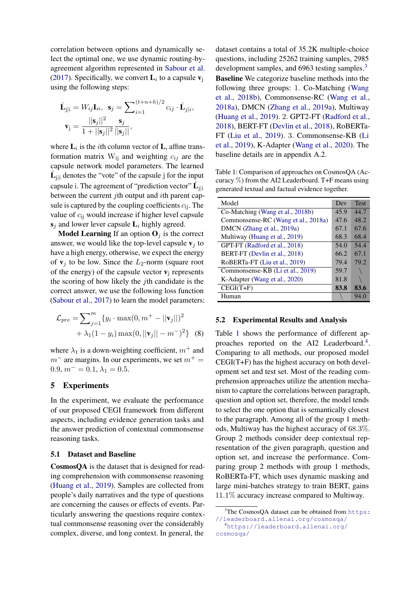correlation between options and dynamically select the optimal one, we use dynamic routing-byagreement algorithm represented in [Sabour et al.](#page-9-6) [\(2017\)](#page-9-6). Specifically, we convert  $\mathbf{L}_i$  to a capsule  $\mathbf{v}_j$ using the following steps:

$$
\hat{\mathbf{L}}_{j|i} = W_{ij}\mathbf{L}_i, \ \mathbf{s}_j = \sum_{i=1}^{(t+n+h)/2} c_{ij} \cdot \hat{\mathbf{L}}_{j|i},
$$

$$
\mathbf{v}_j = \frac{||\mathbf{s}_j||^2}{1 + ||\mathbf{s}_j||^2} \frac{\mathbf{s}_j}{||\mathbf{s}_j||},
$$

where  $\mathbf{L}_i$  is the *i*th column vector of **L**, affine transformation matrix  $W_{ij}$  and weighting  $c_{ij}$  are the capsule network model parameters. The learned  $\hat{\mathbf{L}}_{j|i}$  denotes the "vote" of the capsule j for the input capsule i. The agreement of "prediction vector"  $\hat{\mathbf{L}}_{j|i}$ between the current jth output and ith parent capsule is captured by the coupling coefficients  $c_{ii}$ . The value of  $c_{ij}$  would increase if higher level capsule  $s_i$  and lower lever capsule  $L_i$  highly agreed.

**Model Learning** If an option  $\mathbf{O}_i$  is the correct answer, we would like the top-level capsule  $v_i$  to have a high energy, otherwise, we expect the energy of  $v_i$  to be low. Since the  $L_2$ -norm (square root of the energy) of the capsule vector  $\mathbf{v}_i$  represents the scoring of how likely the jth candidate is the correct answer, we use the following loss function [\(Sabour et al.,](#page-9-6) [2017\)](#page-9-6) to learn the model parameters:

$$
\mathcal{L}_{pre} = \sum_{j=1}^{m} \{ y_i \cdot \max(0, m^+ - ||\mathbf{v}_j||)^2 + \lambda_1 (1 - y_i) \max(0, ||\mathbf{v}_j|| - m^-)^2 \} \quad (8)
$$

where  $\lambda_1$  is a down-weighting coefficient,  $m^+$  and  $m^-$  are margins. In our experiments, we set  $m^+$  =  $0.9, m^- = 0.1, \lambda_1 = 0.5.$ 

# 5 Experiments

In the experiment, we evaluate the performance of our proposed CEGI framework from different aspects, including evidence generation tasks and the answer prediction of contextual commonsense reasoning tasks.

#### 5.1 Dataset and Baseline

CosmosQA is the dataset that is designed for reading comprehension with commonsense reasoning [\(Huang et al.,](#page-8-5) [2019\)](#page-8-5). Samples are collected from people's daily narratives and the type of questions are concerning the causes or effects of events. Particularly answering the questions require contextual commonsense reasoning over the considerably complex, diverse, and long context. In general, the

dataset contains a total of 35.2K multiple-choice questions, including 25262 training samples, 2985 development samples, and 696[3](#page-5-0) testing samples.<sup>3</sup> Baseline We categorize baseline methods into the following three groups: 1. Co-Matching [\(Wang](#page-9-7) [et al.,](#page-9-7) [2018b\)](#page-9-7), Commonsense-RC [\(Wang et al.,](#page-9-18) [2018a\)](#page-9-18), DMCN [\(Zhang et al.,](#page-9-4) [2019a\)](#page-9-4), Multiway [\(Huang et al.,](#page-8-5) [2019\)](#page-8-5). 2. GPT2-FT [\(Radford et al.,](#page-9-0) [2018\)](#page-9-0), BERT-FT [\(Devlin et al.,](#page-8-3) [2018\)](#page-8-3), RoBERTa-FT [\(Liu et al.,](#page-9-1) [2019\)](#page-9-1). 3. Commonsense-KB [\(Li](#page-8-12) [et al.,](#page-8-12) [2019\)](#page-8-12), K-Adapter [\(Wang et al.,](#page-9-19) [2020\)](#page-9-19). The baseline details are in appendix A.2.

<span id="page-5-1"></span>Table 1: Comparison of approaches on CosmosQA (Accuracy  $\%$ ) from the AI2 Leaderboard. T+F means using generated textual and factual evidence together.

| Model                               | Dev  | <b>Test</b> |
|-------------------------------------|------|-------------|
| Co-Matching (Wang et al., 2018b)    | 45.9 | 44.7        |
| Commonsense-RC (Wang et al., 2018a) | 47.6 | 48.2        |
| DMCN (Zhang et al., 2019a)          | 67.1 | 67.6        |
| Multiway (Huang et al., 2019)       | 68.3 | 68.4        |
| GPT-FT (Radford et al., 2018)       | 54.0 | 54.4        |
| BERT-FT (Devlin et al., 2018)       | 66.2 | 67.1        |
| RoBERTa-FT (Liu et al., 2019)       | 79.4 | 79.2        |
| Commonsense-KB (Li et al., 2019)    | 59.7 |             |
| K-Adapter (Wang et al., 2020)       | 81.8 |             |
| $CEGI(T+F)$                         | 83.8 | 83.6        |
| Human                               |      | 94.0        |

#### 5.2 Experimental Results and Analysis

Table [1](#page-5-1) shows the performance of different ap-proaches reported on the AI2 Leaderboard.<sup>[4](#page-5-2)</sup>. Comparing to all methods, our proposed model CEGI(T+F) has the highest accuracy on both development set and test set. Most of the reading comprehension approaches utilize the attention mechanism to capture the correlations between paragraph, question and option set, therefore, the model tends to select the one option that is semantically closest to the paragraph. Among all of the group 1 methods, Multiway has the highest accuracy of 68.3%. Group 2 methods consider deep contextual representation of the given paragraph, question and option set, and increase the performance. Comparing group 2 methods with group 1 methods, RoBERTa-FT, which uses dynamic masking and large mini-batches strategy to train BERT, gains 11.1% accuracy increase compared to Multiway.

<span id="page-5-0"></span> $3$ The CosmosQA dataset can be obtained from [https:](https://leaderboard.allenai.org/cosmosqa/) [//leaderboard.allenai.org/cosmosqa/](https://leaderboard.allenai.org/cosmosqa/)

<span id="page-5-2"></span><sup>4</sup>[https://leaderboard.allenai.org/](https://leaderboard.allenai.org/cosmosqa/) [cosmosqa/](https://leaderboard.allenai.org/cosmosqa/)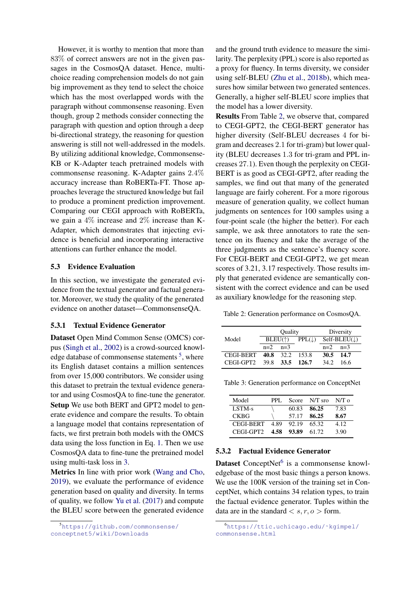However, it is worthy to mention that more than 83% of correct answers are not in the given passages in the CosmosQA dataset. Hence, multichoice reading comprehension models do not gain big improvement as they tend to select the choice which has the most overlapped words with the paragraph without commonsense reasoning. Even though, group 2 methods consider connecting the paragraph with question and option through a deep bi-directional strategy, the reasoning for question answering is still not well-addressed in the models. By utilizing additional knowledge, Commonsense-KB or K-Adapter teach pretrained models with commonsense reasoning. K-Adapter gains 2.4% accuracy increase than RoBERTa-FT. Those approaches leverage the structured knowledge but fail to produce a prominent prediction improvement. Comparing our CEGI approach with RoBERTa, we gain a 4% increase and 2% increase than K-Adapter, which demonstrates that injecting evidence is beneficial and incorporating interactive attentions can further enhance the model.

#### 5.3 Evidence Evaluation

In this section, we investigate the generated evidence from the textual generator and factual generator. Moreover, we study the quality of the generated evidence on another dataset—CommonsenseQA.

### 5.3.1 Textual Evidence Generator

Dataset Open Mind Common Sense (OMCS) corpus [\(Singh et al.,](#page-9-20) [2002\)](#page-9-20) is a crowd-sourced knowl-edge database of commonsense statements <sup>[5](#page-6-0)</sup>, where its English dataset contains a million sentences from over 15,000 contributors. We consider using this dataset to pretrain the textual evidence generator and using CosmosQA to fine-tune the generator. Setup We use both BERT and GPT2 model to generate evidence and compare the results. To obtain a language model that contains representation of facts, we first pretrain both models with the OMCS data using the loss function in Eq. [1.](#page-3-2) Then we use CosmosQA data to fine-tune the pretrained model using multi-task loss in [3.](#page-3-3)

Metrics In line with prior work [\(Wang and Cho,](#page-9-21) [2019\)](#page-9-21), we evaluate the performance of evidence generation based on quality and diversity. In terms of quality, we follow [Yu et al.](#page-9-22) [\(2017\)](#page-9-22) and compute the BLEU score between the generated evidence

and the ground truth evidence to measure the similarity. The perplexity (PPL) score is also reported as a proxy for fluency. In terms diversity, we consider using self-BLEU [\(Zhu et al.,](#page-10-0) [2018b\)](#page-10-0), which measures how similar between two generated sentences. Generally, a higher self-BLEU score implies that the model has a lower diversity.

Results From Table [2,](#page-6-1) we observe that, compared to CEGI-GPT2, the CEGI-BERT generator has higher diversity (Self-BLEU decreases 4 for bigram and decreases 2.1 for tri-gram) but lower quality (BLEU decreases 1.3 for tri-gram and PPL increases 27.1). Even though the perplexity on CEGI-BERT is as good as CEGI-GPT2, after reading the samples, we find out that many of the generated language are fairly coherent. For a more rigorous measure of generation quality, we collect human judgments on sentences for 100 samples using a four-point scale (the higher the better). For each sample, we ask three annotators to rate the sentence on its fluency and take the average of the three judgments as the sentence's fluency score. For CEGI-BERT and CEGI-GPT2, we get mean scores of 3.21, 3.17 respectively. Those results imply that generated evidence are semantically consistent with the correct evidence and can be used as auxiliary knowledge for the reasoning step.

<span id="page-6-1"></span>Table 2: Generation performance on CosmosQA.

|                  | <b>Ouality</b> |                                       |         | Diversity |                         |
|------------------|----------------|---------------------------------------|---------|-----------|-------------------------|
| Model            |                | $BLEU(\uparrow)$<br>$PPL(\downarrow)$ |         |           | $Self-BLEU(\downarrow)$ |
|                  | $n=2$          | $n=3$                                 |         | $n=2$     | $n=3$                   |
| <b>CEGI-BERT</b> |                | 40.8 32.2                             | - 153.8 | 30.5      | - 14.7                  |
| CEGL-GPT2        | 39.8           | 33.5                                  | 126.7   | 34.2      | 16 6                    |

<span id="page-6-3"></span>

| Model       | PPL.  |            | Score N/T sro | N/T <sub>0</sub> |
|-------------|-------|------------|---------------|------------------|
| $LSTM-s$    |       | 60.83      | 86.25         | 7.83             |
| <b>CKBG</b> |       | 57.17      | -86.25        | 8.67             |
| CEGI-BERT   | -4.89 | 92.19      | 65.32         | 4.12             |
| CEGI-GPT2   |       | 4.58 93.89 | 61.72         | 3.90             |

### 5.3.2 Factual Evidence Generator

Dataset ConceptNet<sup>[6](#page-6-2)</sup> is a commonsense knowledgebase of the most basic things a person knows. We use the 100K version of the training set in ConceptNet, which contains 34 relation types, to train the factual evidence generator. Tuples within the data are in the standard  $\langle s, r, o \rangle$  form.

<span id="page-6-0"></span><sup>5</sup>[https://github.com/commonsense/](https://github.com/commonsense/conceptnet5/wiki/Downloads) [conceptnet5/wiki/Downloads](https://github.com/commonsense/conceptnet5/wiki/Downloads)

<span id="page-6-2"></span><sup>6</sup>[https://ttic.uchicago.edu/˜kgimpel/](https://ttic.uchicago.edu/~kgimpel/commonsense.html) [commonsense.html](https://ttic.uchicago.edu/~kgimpel/commonsense.html)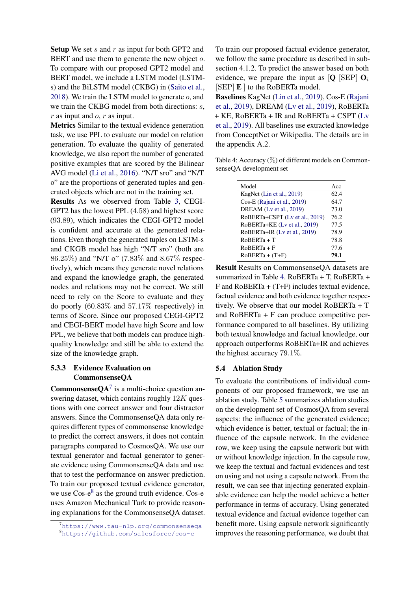Setup We set  $s$  and  $r$  as input for both GPT2 and BERT and use them to generate the new object o. To compare with our proposed GPT2 model and BERT model, we include a LSTM model (LSTMs) and the BiLSTM model (CKBG) in [\(Saito et al.,](#page-9-23) [2018\)](#page-9-23). We train the LSTM model to generate o, and we train the CKBG model from both directions: s,  $r$  as input and  $o, r$  as input.

Metrics Similar to the textual evidence generation task, we use PPL to evaluate our model on relation generation. To evaluate the quality of generated knowledge, we also report the number of generated positive examples that are scored by the Bilinear AVG model [\(Li et al.,](#page-8-13) [2016\)](#page-8-13). "N/T sro" and "N/T o" are the proportions of generated tuples and generated objects which are not in the training set.

Results As we observed from Table [3,](#page-6-3) CEGI-GPT2 has the lowest PPL (4.58) and highest score (93.89), which indicates the CEGI-GPT2 model is confident and accurate at the generated relations. Even though the generated tuples on LSTM-s and CKGB model has high "N/T sro" (both are 86.25%) and "N/T o" (7.83% and 8.67% respectively), which means they generate novel relations and expand the knowledge graph, the generated nodes and relations may not be correct. We still need to rely on the Score to evaluate and they do poorly (60.83% and 57.17% respectively) in terms of Score. Since our proposed CEGI-GPT2 and CEGI-BERT model have high Score and low PPL, we believe that both models can produce highquality knowledge and still be able to extend the size of the knowledge graph.

# 5.3.3 Evidence Evaluation on CommonsenseQA

**CommonsenseQA**<sup>[7](#page-7-0)</sup> is a multi-choice question answering dataset, which contains roughly  $12K$  questions with one correct answer and four distractor answers. Since the CommonsenseQA data only requires different types of commonsense knowledge to predict the correct answers, it does not contain paragraphs compared to CosmosQA. We use our textual generator and factual generator to generate evidence using CommonsenseQA data and use that to test the performance on answer prediction. To train our proposed textual evidence generator, we use  $\cos$ -e<sup>[8](#page-7-1)</sup> as the ground truth evidence. Cos-e uses Amazon Mechanical Turk to provide reasoning explanations for the CommonsenseQA dataset. To train our proposed factual evidence generator, we follow the same procedure as described in subsection 4.1.2. To predict the answer based on both evidence, we prepare the input as  $[Q]$  [SEP]  $O_i$  $[SEP]$  **E**  $]$  to the RoBERTa model.

Baselines KagNet [\(Lin et al.,](#page-8-6) [2019\)](#page-8-6), Cos-E [\(Rajani](#page-9-24) [et al.,](#page-9-24) [2019\)](#page-9-24), DREAM [\(Lv et al.,](#page-9-11) [2019\)](#page-9-11), RoBERTa + KE, RoBERTa + IR and RoBERTa + CSPT [\(Lv](#page-9-11) [et al.,](#page-9-11) [2019\)](#page-9-11). All baselines use extracted knowledge from ConceptNet or Wikipedia. The details are in the appendix A.2.

<span id="page-7-2"></span>Table 4: Accuracy (%) of different models on CommonsenseQA development set

| Model                          | Acc  |
|--------------------------------|------|
| KagNet (Lin et al., 2019)      | 62.4 |
| Cos-E (Rajani et al., 2019)    | 64.7 |
| DREAM (Lv et al., 2019)        | 73.0 |
| RoBERTa+CSPT (Lv et al., 2019) | 76.2 |
| RoBERTa+KE (Lv et al., 2019)   | 77.5 |
| RoBERTa+IR (Lv et al., 2019)   | 78.9 |
| RoBERTa + T                    | 78.8 |
| $RoBERTa + F$                  | 77.6 |
| $RoBERTa + (T+F)$              | 79.1 |
|                                |      |

Result Results on CommonsenseQA datasets are summarized in Table [4.](#page-7-2) RoBERTa + T, RoBERTa +  $F$  and RoBERTa + (T+F) includes textual evidence, factual evidence and both evidence together respectively. We observe that our model RoBERTa + T and RoBERTa + F can produce competitive performance compared to all baselines. By utilizing both textual knowledge and factual knowledge, our approach outperforms RoBERTa+IR and achieves the highest accuracy 79.1%.

# 5.4 Ablation Study

To evaluate the contributions of individual components of our proposed framework, we use an ablation study. Table [5](#page-8-14) summarizes ablation studies on the development set of CosmosQA from several aspects: the influence of the generated evidence; which evidence is better, textual or factual; the influence of the capsule network. In the evidence row, we keep using the capsule network but with or without knowledge injection. In the capsule row, we keep the textual and factual evidences and test on using and not using a capsule network. From the result, we can see that injecting generated explainable evidence can help the model achieve a better performance in terms of accuracy. Using generated textual evidence and factual evidence together can benefit more. Using capsule network significantly improves the reasoning performance, we doubt that

<span id="page-7-1"></span><span id="page-7-0"></span><sup>7</sup><https://www.tau-nlp.org/commonsenseqa> <sup>8</sup><https://github.com/salesforce/cos-e>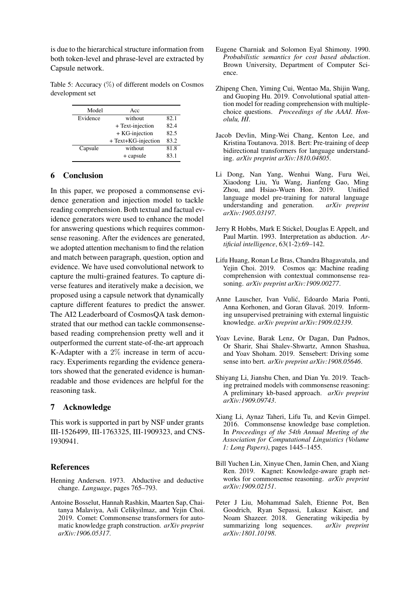is due to the hierarchical structure information from both token-level and phrase-level are extracted by Capsule network.

<span id="page-8-14"></span>Table 5: Accuracy (%) of different models on Cosmos development set

| Model    | Acc                 |      |
|----------|---------------------|------|
| Evidence | without             | 82.1 |
|          | + Text-injection    | 82.4 |
|          | $+KG$ -injection    | 82.5 |
|          | + Text+KG-injection | 83.2 |
| Capsule  | without             | 81.8 |
|          | + capsule           | 83.1 |

# 6 Conclusion

In this paper, we proposed a commonsense evidence generation and injection model to tackle reading comprehension. Both textual and factual evidence generators were used to enhance the model for answering questions which requires commonsense reasoning. After the evidences are generated, we adopted attention mechanism to find the relation and match between paragraph, question, option and evidence. We have used convolutional network to capture the multi-grained features. To capture diverse features and iteratively make a decision, we proposed using a capsule network that dynamically capture different features to predict the answer. The AI2 Leaderboard of CosmosQA task demonstrated that our method can tackle commonsensebased reading comprehension pretty well and it outperformed the current state-of-the-art approach K-Adapter with a 2% increase in term of accuracy. Experiments regarding the evidence generators showed that the generated evidence is humanreadable and those evidences are helpful for the reasoning task.

# 7 Acknowledge

This work is supported in part by NSF under grants III-1526499, III-1763325, III-1909323, and CNS-1930941.

# **References**

- <span id="page-8-1"></span>Henning Andersen. 1973. Abductive and deductive change. *Language*, pages 765–793.
- <span id="page-8-11"></span>Antoine Bosselut, Hannah Rashkin, Maarten Sap, Chaitanya Malaviya, Asli Celikyilmaz, and Yejin Choi. 2019. Comet: Commonsense transformers for automatic knowledge graph construction. *arXiv preprint arXiv:1906.05317*.
- <span id="page-8-2"></span>Eugene Charniak and Solomon Eyal Shimony. 1990. *Probabilistic semantics for cost based abduction*. Brown University, Department of Computer Science.
- <span id="page-8-4"></span>Zhipeng Chen, Yiming Cui, Wentao Ma, Shijin Wang, and Guoping Hu. 2019. Convolutional spatial attention model for reading comprehension with multiplechoice questions. *Proceedings of the AAAI. Honolulu, HI*.
- <span id="page-8-3"></span>Jacob Devlin, Ming-Wei Chang, Kenton Lee, and Kristina Toutanova. 2018. Bert: Pre-training of deep bidirectional transformers for language understanding. *arXiv preprint arXiv:1810.04805*.
- <span id="page-8-9"></span>Li Dong, Nan Yang, Wenhui Wang, Furu Wei, Xiaodong Liu, Yu Wang, Jianfeng Gao, Ming Zhou, and Hsiao-Wuen Hon. 2019. Unified language model pre-training for natural language understanding and generation. *arXiv preprint arXiv:1905.03197*.
- <span id="page-8-0"></span>Jerry R Hobbs, Mark E Stickel, Douglas E Appelt, and Paul Martin. 1993. Interpretation as abduction. *Artificial intelligence*, 63(1-2):69–142.
- <span id="page-8-5"></span>Lifu Huang, Ronan Le Bras, Chandra Bhagavatula, and Yejin Choi. 2019. Cosmos qa: Machine reading comprehension with contextual commonsense reasoning. *arXiv preprint arXiv:1909.00277*.
- <span id="page-8-7"></span>Anne Lauscher, Ivan Vulic, Edoardo Maria Ponti, ´ Anna Korhonen, and Goran Glavaš. 2019. Informing unsupervised pretraining with external linguistic knowledge. *arXiv preprint arXiv:1909.02339*.
- <span id="page-8-8"></span>Yoav Levine, Barak Lenz, Or Dagan, Dan Padnos, Or Sharir, Shai Shalev-Shwartz, Amnon Shashua, and Yoav Shoham. 2019. Sensebert: Driving some sense into bert. *arXiv preprint arXiv:1908.05646*.
- <span id="page-8-12"></span>Shiyang Li, Jianshu Chen, and Dian Yu. 2019. Teaching pretrained models with commonsense reasoning: A preliminary kb-based approach. *arXiv preprint arXiv:1909.09743*.
- <span id="page-8-13"></span>Xiang Li, Aynaz Taheri, Lifu Tu, and Kevin Gimpel. 2016. Commonsense knowledge base completion. In *Proceedings of the 54th Annual Meeting of the Association for Computational Linguistics (Volume 1: Long Papers)*, pages 1445–1455.
- <span id="page-8-6"></span>Bill Yuchen Lin, Xinyue Chen, Jamin Chen, and Xiang Ren. 2019. Kagnet: Knowledge-aware graph networks for commonsense reasoning. *arXiv preprint arXiv:1909.02151*.
- <span id="page-8-10"></span>Peter J Liu, Mohammad Saleh, Etienne Pot, Ben Goodrich, Ryan Sepassi, Lukasz Kaiser, and Noam Shazeer. 2018. Generating wikipedia by summarizing long sequences. *arXiv preprint arXiv:1801.10198*.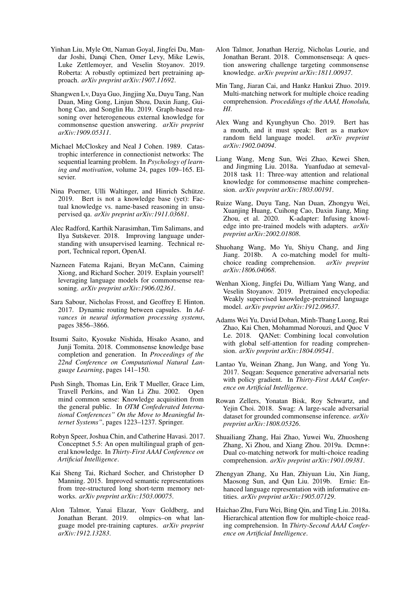- <span id="page-9-1"></span>Yinhan Liu, Myle Ott, Naman Goyal, Jingfei Du, Mandar Joshi, Danqi Chen, Omer Levy, Mike Lewis, Luke Zettlemoyer, and Veselin Stoyanov. 2019. Roberta: A robustly optimized bert pretraining approach. *arXiv preprint arXiv:1907.11692*.
- <span id="page-9-11"></span>Shangwen Lv, Daya Guo, Jingjing Xu, Duyu Tang, Nan Duan, Ming Gong, Linjun Shou, Daxin Jiang, Guihong Cao, and Songlin Hu. 2019. Graph-based reasoning over heterogeneous external knowledge for commonsense question answering. *arXiv preprint arXiv:1909.05311*.
- <span id="page-9-14"></span>Michael McCloskey and Neal J Cohen. 1989. Catastrophic interference in connectionist networks: The sequential learning problem. In *Psychology of learning and motivation*, volume 24, pages 109–165. Elsevier.
- <span id="page-9-2"></span>Nina Poerner, Ulli Waltinger, and Hinrich Schütze. 2019. Bert is not a knowledge base (yet): Factual knowledge vs. name-based reasoning in unsupervised qa. *arXiv preprint arXiv:1911.03681*.
- <span id="page-9-0"></span>Alec Radford, Karthik Narasimhan, Tim Salimans, and Ilya Sutskever. 2018. Improving language understanding with unsupervised learning. Technical report, Technical report, OpenAI.
- <span id="page-9-24"></span>Nazneen Fatema Rajani, Bryan McCann, Caiming Xiong, and Richard Socher. 2019. Explain yourself! leveraging language models for commonsense reasoning. *arXiv preprint arXiv:1906.02361*.
- <span id="page-9-6"></span>Sara Sabour, Nicholas Frosst, and Geoffrey E Hinton. 2017. Dynamic routing between capsules. In *Advances in neural information processing systems*, pages 3856–3866.
- <span id="page-9-23"></span>Itsumi Saito, Kyosuke Nishida, Hisako Asano, and Junji Tomita. 2018. Commonsense knowledge base completion and generation. In *Proceedings of the 22nd Conference on Computational Natural Language Learning*, pages 141–150.
- <span id="page-9-20"></span>Push Singh, Thomas Lin, Erik T Mueller, Grace Lim, Travell Perkins, and Wan Li Zhu. 2002. Open mind common sense: Knowledge acquisition from the general public. In *OTM Confederated International Conferences" On the Move to Meaningful Internet Systems"*, pages 1223–1237. Springer.
- <span id="page-9-15"></span>Robyn Speer, Joshua Chin, and Catherine Havasi. 2017. Conceptnet 5.5: An open multilingual graph of general knowledge. In *Thirty-First AAAI Conference on Artificial Intelligence*.
- <span id="page-9-17"></span>Kai Sheng Tai, Richard Socher, and Christopher D Manning. 2015. Improved semantic representations from tree-structured long short-term memory networks. *arXiv preprint arXiv:1503.00075*.
- <span id="page-9-3"></span>Alon Talmor, Yanai Elazar, Yoav Goldberg, and Jonathan Berant. 2019. guage model pre-training captures. *arXiv preprint arXiv:1912.13283*.
- <span id="page-9-10"></span>Alon Talmor, Jonathan Herzig, Nicholas Lourie, and Jonathan Berant. 2018. Commonsenseqa: A question answering challenge targeting commonsense knowledge. *arXiv preprint arXiv:1811.00937*.
- <span id="page-9-5"></span>Min Tang, Jiaran Cai, and Hankz Hankui Zhuo. 2019. Multi-matching network for multiple choice reading comprehension. *Proceddings of the AAAI, Honolulu, HI*.
- <span id="page-9-21"></span>Alex Wang and Kyunghyun Cho. 2019. Bert has a mouth, and it must speak: Bert as a markov random field language model. *arXiv preprint arXiv:1902.04094*.
- <span id="page-9-18"></span>Liang Wang, Meng Sun, Wei Zhao, Kewei Shen, and Jingming Liu. 2018a. Yuanfudao at semeval-2018 task 11: Three-way attention and relational knowledge for commonsense machine comprehension. *arXiv preprint arXiv:1803.00191*.
- <span id="page-9-19"></span>Ruize Wang, Duyu Tang, Nan Duan, Zhongyu Wei, Xuanjing Huang, Cuihong Cao, Daxin Jiang, Ming K-adapter: Infusing knowledge into pre-trained models with adapters. *arXiv preprint arXiv:2002.01808*.
- <span id="page-9-7"></span>Shuohang Wang, Mo Yu, Shiyu Chang, and Jing Jiang. 2018b. A co-matching model for multichoice reading comprehension. *arXiv preprint arXiv:1806.04068*.
- <span id="page-9-13"></span>Wenhan Xiong, Jingfei Du, William Yang Wang, and Veselin Stoyanov. 2019. Pretrained encyclopedia: Weakly supervised knowledge-pretrained language model. *arXiv preprint arXiv:1912.09637*.
- <span id="page-9-16"></span>Adams Wei Yu, David Dohan, Minh-Thang Luong, Rui Zhao, Kai Chen, Mohammad Norouzi, and Quoc V Le. 2018. QANet: Combining local convolution with global self-attention for reading comprehension. *arXiv preprint arXiv:1804.09541*.
- <span id="page-9-22"></span>Lantao Yu, Weinan Zhang, Jun Wang, and Yong Yu. 2017. Seqgan: Sequence generative adversarial nets with policy gradient. In *Thirty-First AAAI Conference on Artificial Intelligence*.
- <span id="page-9-9"></span>Rowan Zellers, Yonatan Bisk, Roy Schwartz, and Yejin Choi. 2018. Swag: A large-scale adversarial dataset for grounded commonsense inference. *arXiv preprint arXiv:1808.05326*.
- <span id="page-9-4"></span>Shuailiang Zhang, Hai Zhao, Yuwei Wu, Zhuosheng Zhang, Xi Zhou, and Xiang Zhou. 2019a. Dcmn+: Dual co-matching network for multi-choice reading comprehension. *arXiv preprint arXiv:1901.09381*.
- <span id="page-9-12"></span>Zhengyan Zhang, Xu Han, Zhiyuan Liu, Xin Jiang, Maosong Sun, and Qun Liu. 2019b. Ernie: Enhanced language representation with informative entities. *arXiv preprint arXiv:1905.07129*.
- <span id="page-9-8"></span>Haichao Zhu, Furu Wei, Bing Qin, and Ting Liu. 2018a. Hierarchical attention flow for multiple-choice reading comprehension. In *Thirty-Second AAAI Conference on Artificial Intelligence*.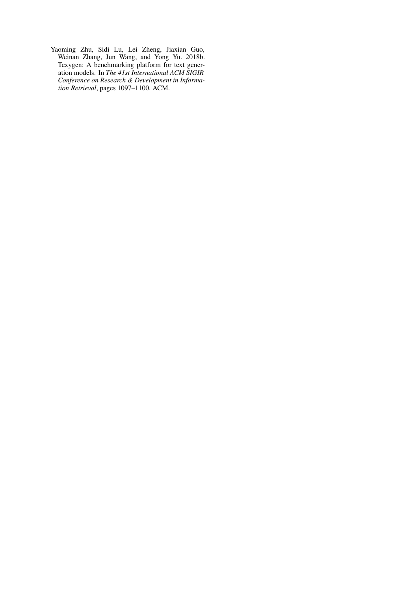<span id="page-10-0"></span>Yaoming Zhu, Sidi Lu, Lei Zheng, Jiaxian Guo, Weinan Zhang, Jun Wang, and Yong Yu. 2018b. Texygen: A benchmarking platform for text generation models. In *The 41st International ACM SIGIR Conference on Research & Development in Information Retrieval*, pages 1097–1100. ACM.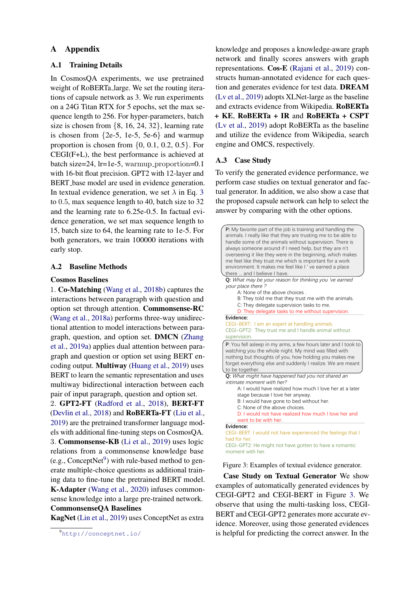# A Appendix

# A.1 Training Details

In CosmosQA experiments, we use pretrained weight of RoBERTa large. We set the routing iterations of capsule network as 3. We run experiments on a 24G Titan RTX for 5 epochs, set the max sequence length to 256. For hyper-parameters, batch size is chosen from {8, 16, 24, 32}, learning rate is chosen from  $\{2e-5, 1e-5, 5e-6\}$  and warmup proportion is chosen from  $\{0, 0.1, 0.2, 0.5\}$ . For CEGI(F+L), the best performance is achieved at batch size=24, lr=1e-5, warmup\_proportion=0.1 with 16-bit float precision. GPT2 with 12-layer and BERT base model are used in evidence generation. In textual evidence generation, we set  $\lambda$  in Eq. [3](#page-3-3) to 0.5, max sequence length to 40, batch size to 32 and the learning rate to 6.25e-0.5. In factual evidence generation, we set max sequence length to 15, batch size to 64, the learning rate to 1e-5. For both generators, we train 100000 iterations with early stop.

### A.2 Baseline Methods

#### Cosmos Baselines

1. Co-Matching [\(Wang et al.,](#page-9-7) [2018b\)](#page-9-7) captures the interactions between paragraph with question and option set through attention. Commonsense-RC [\(Wang et al.,](#page-9-18) [2018a\)](#page-9-18) performs three-way unidirectional attention to model interactions between paragraph, question, and option set. DMCN [\(Zhang](#page-9-4) [et al.,](#page-9-4) [2019a\)](#page-9-4) applies dual attention between paragraph and question or option set using BERT encoding output. Multiway [\(Huang et al.,](#page-8-5) [2019\)](#page-8-5) uses BERT to learn the semantic representation and uses multiway bidirectional interaction between each pair of input paragraph, question and option set.

2. GPT2-FT [\(Radford et al.,](#page-9-0) [2018\)](#page-9-0), BERT-FT [\(Devlin et al.,](#page-8-3) [2018\)](#page-8-3) and RoBERTa-FT [\(Liu et al.,](#page-9-1) [2019\)](#page-9-1) are the pretrained transformer language models with additional fine-tuning steps on CosmosQA. 3. Commonsense-KB [\(Li et al.,](#page-8-12) [2019\)](#page-8-12) uses logic relations from a commonsense knowledge base (e.g., Concept $Net<sup>9</sup>$  $Net<sup>9</sup>$  $Net<sup>9</sup>$ ) with rule-based method to generate multiple-choice questions as additional training data to fine-tune the pretrained BERT model. K-Adapter [\(Wang et al.,](#page-9-19) [2020\)](#page-9-19) infuses commonsense knowledge into a large pre-trained network. CommonsenseQA Baselines

KagNet [\(Lin et al.,](#page-8-6) [2019\)](#page-8-6) uses ConceptNet as extra

knowledge and proposes a knowledge-aware graph network and finally scores answers with graph representations. Cos-E [\(Rajani et al.,](#page-9-24) [2019\)](#page-9-24) constructs human-annotated evidence for each question and generates evidence for test data. DREAM [\(Lv et al.,](#page-9-11) [2019\)](#page-9-11) adopts XLNet-large as the baseline and extracts evidence from Wikipedia. RoBERTa + KE, RoBERTa + IR and RoBERTa + CSPT [\(Lv et al.,](#page-9-11) [2019\)](#page-9-11) adopt RoBERTa as the baseline and utilize the evidence from Wikipedia, search engine and OMCS, respectively.

#### A.3 Case Study

To verify the generated evidence performance, we perform case studies on textual generator and factual generator. In addition, we also show a case that the proposed capsule network can help to select the answer by comparing with the other options.

<span id="page-11-1"></span>

Figure 3: Examples of textual evidence generator.

Case Study on Textual Generator We show examples of automatically generated evidences by CEGI-GPT2 and CEGI-BERT in Figure [3.](#page-11-1) We observe that using the multi-tasking loss, CEGI-BERT and CEGI-GPT2 generates more accurate evidence. Moreover, using those generated evidences is helpful for predicting the correct answer. In the

<span id="page-11-0"></span><sup>9</sup><http://conceptnet.io/>